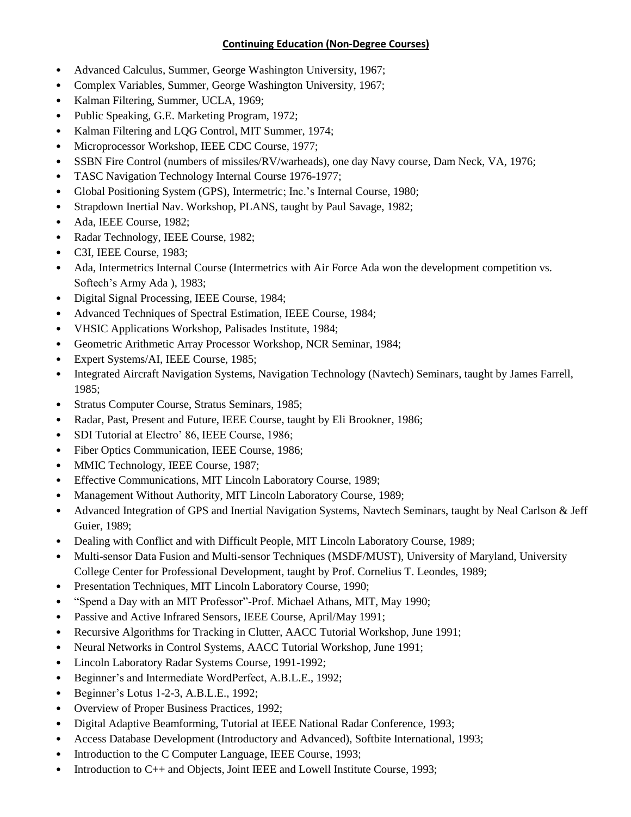## **Continuing Education (Non-Degree Courses)**

- Advanced Calculus, Summer, George Washington University, 1967;
- Complex Variables, Summer, George Washington University, 1967;
- Kalman Filtering, Summer, UCLA, 1969;
- Public Speaking, G.E. Marketing Program, 1972;
- Kalman Filtering and LQG Control, MIT Summer, 1974;
- Microprocessor Workshop, IEEE CDC Course, 1977;
- SSBN Fire Control (numbers of missiles/RV/warheads), one day Navy course, Dam Neck, VA, 1976;
- TASC Navigation Technology Internal Course 1976-1977;
- Global Positioning System (GPS), Intermetric; Inc.'s Internal Course, 1980;
- Strapdown Inertial Nav. Workshop, PLANS, taught by Paul Savage, 1982;
- Ada, IEEE Course, 1982;
- Radar Technology, IEEE Course, 1982;
- C3I, IEEE Course, 1983;
- Ada, Intermetrics Internal Course (Intermetrics with Air Force Ada won the development competition vs. Softech's Army Ada ), 1983;
- Digital Signal Processing, IEEE Course, 1984;
- Advanced Techniques of Spectral Estimation, IEEE Course, 1984;
- VHSIC Applications Workshop, Palisades Institute, 1984;
- Geometric Arithmetic Array Processor Workshop, NCR Seminar, 1984;
- Expert Systems/AI, IEEE Course, 1985;
- Integrated Aircraft Navigation Systems, Navigation Technology (Navtech) Seminars, taught by James Farrell, 1985;
- Stratus Computer Course, Stratus Seminars, 1985;
- Radar, Past, Present and Future, IEEE Course, taught by Eli Brookner, 1986;
- SDI Tutorial at Electro' 86, IEEE Course, 1986;
- Fiber Optics Communication, IEEE Course, 1986;
- MMIC Technology, IEEE Course, 1987;
- Effective Communications, MIT Lincoln Laboratory Course, 1989;
- Management Without Authority, MIT Lincoln Laboratory Course, 1989;
- Advanced Integration of GPS and Inertial Navigation Systems, Navtech Seminars, taught by Neal Carlson & Jeff Guier, 1989;
- Dealing with Conflict and with Difficult People, MIT Lincoln Laboratory Course, 1989;
- Multi-sensor Data Fusion and Multi-sensor Techniques (MSDF/MUST), University of Maryland, University College Center for Professional Development, taught by Prof. Cornelius T. Leondes, 1989;
- Presentation Techniques, MIT Lincoln Laboratory Course, 1990;
- "Spend a Day with an MIT Professor"-Prof. Michael Athans, MIT, May 1990;
- Passive and Active Infrared Sensors, IEEE Course, April/May 1991;
- Recursive Algorithms for Tracking in Clutter, AACC Tutorial Workshop, June 1991;
- Neural Networks in Control Systems, AACC Tutorial Workshop, June 1991;
- Lincoln Laboratory Radar Systems Course, 1991-1992;
- Beginner's and Intermediate WordPerfect, A.B.L.E., 1992;
- Beginner's Lotus 1-2-3, A.B.L.E., 1992;
- Overview of Proper Business Practices, 1992;
- Digital Adaptive Beamforming, Tutorial at IEEE National Radar Conference, 1993;
- Access Database Development (Introductory and Advanced), Softbite International, 1993;
- Introduction to the C Computer Language, IEEE Course, 1993;
- Introduction to C++ and Objects, Joint IEEE and Lowell Institute Course, 1993;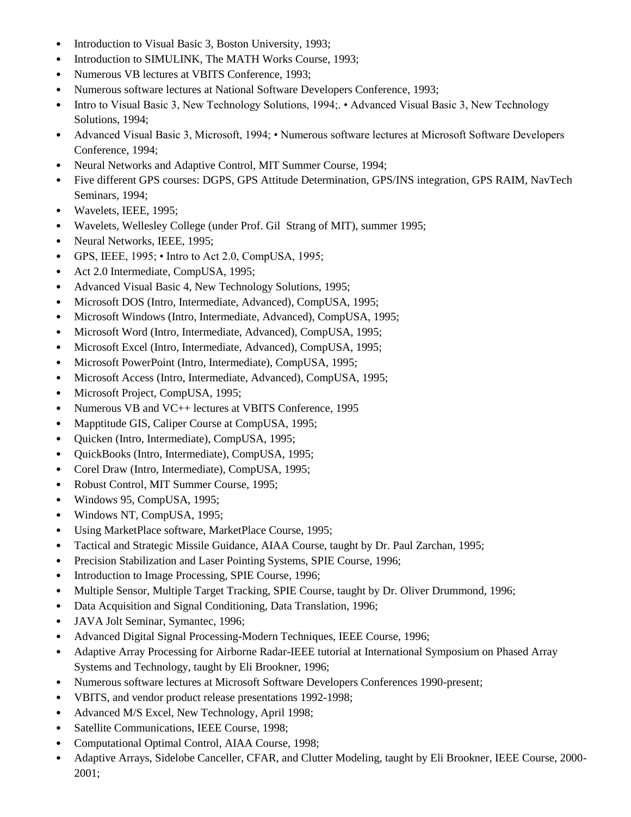- Introduction to Visual Basic 3, Boston University, 1993;
- Introduction to SIMULINK, The MATH Works Course, 1993;
- Numerous VB lectures at VBITS Conference, 1993;
- Numerous software lectures at National Software Developers Conference, 1993;
- Intro to Visual Basic 3, New Technology Solutions, 1994; Advanced Visual Basic 3, New Technology Solutions, 1994;
- Advanced Visual Basic 3, Microsoft, 1994; Numerous software lectures at Microsoft Software Developers Conference, 1994;
- Neural Networks and Adaptive Control, MIT Summer Course, 1994;
- Five different GPS courses: DGPS, GPS Attitude Determination, GPS/INS integration, GPS RAIM, NavTech Seminars, 1994;
- Wavelets, IEEE, 1995;
- Wavelets, Wellesley College (under Prof. Gil Strang of MIT), summer 1995;
- Neural Networks, IEEE, 1995;
- GPS, IEEE,  $1995$ ; Intro to Act 2.0, CompUSA,  $1995$ ;
- Act 2.0 Intermediate, CompUSA, 1995;
- Advanced Visual Basic 4, New Technology Solutions, 1995;
- Microsoft DOS (Intro, Intermediate, Advanced), CompUSA, 1995;
- Microsoft Windows (Intro, Intermediate, Advanced), CompUSA, 1995;
- Microsoft Word (Intro, Intermediate, Advanced), CompUSA, 1995;
- Microsoft Excel (Intro, Intermediate, Advanced), CompUSA, 1995;
- Microsoft PowerPoint (Intro, Intermediate), CompUSA, 1995;
- Microsoft Access (Intro, Intermediate, Advanced), CompUSA, 1995;
- Microsoft Project, CompUSA, 1995;
- Numerous VB and VC++ lectures at VBITS Conference, 1995
- Mapptitude GIS, Caliper Course at CompUSA, 1995;
- Quicken (Intro, Intermediate), CompUSA, 1995;
- QuickBooks (Intro, Intermediate), CompUSA, 1995;
- Corel Draw (Intro, Intermediate), CompUSA, 1995;
- Robust Control, MIT Summer Course, 1995;
- Windows 95, CompUSA, 1995;
- Windows NT, CompUSA, 1995;
- Using MarketPlace software, MarketPlace Course, 1995;
- Tactical and Strategic Missile Guidance, AIAA Course, taught by Dr. Paul Zarchan, 1995;
- Precision Stabilization and Laser Pointing Systems, SPIE Course, 1996;
- Introduction to Image Processing, SPIE Course, 1996;
- Multiple Sensor, Multiple Target Tracking, SPIE Course, taught by Dr. Oliver Drummond, 1996;
- Data Acquisition and Signal Conditioning, Data Translation, 1996;
- JAVA Jolt Seminar, Symantec, 1996;
- Advanced Digital Signal Processing-Modern Techniques, IEEE Course, 1996;
- Adaptive Array Processing for Airborne Radar-IEEE tutorial at International Symposium on Phased Array Systems and Technology, taught by Eli Brookner, 1996;
- Numerous software lectures at Microsoft Software Developers Conferences 1990-present;
- VBITS, and vendor product release presentations 1992-1998;
- Advanced M/S Excel, New Technology, April 1998;
- Satellite Communications, IEEE Course, 1998;
- Computational Optimal Control, AIAA Course, 1998;
- Adaptive Arrays, Sidelobe Canceller, CFAR, and Clutter Modeling, taught by Eli Brookner, IEEE Course, 2000- 2001;